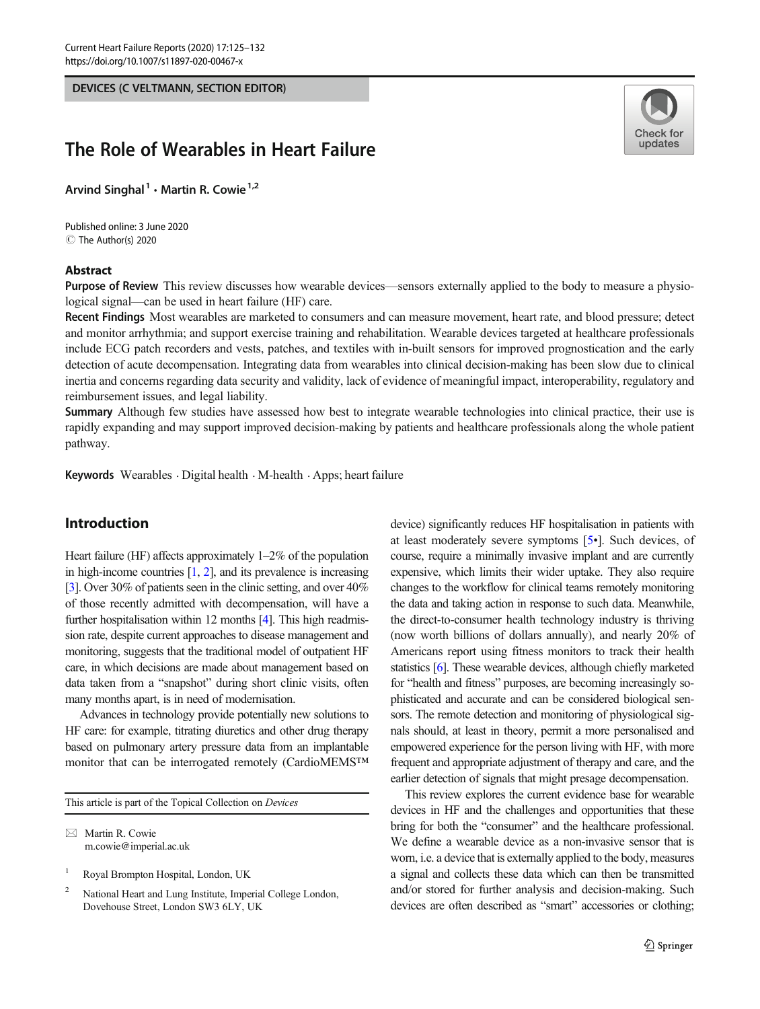DEVICES (C VELTMANN, SECTION EDITOR)

# The Role of Wearables in Heart Failure

Arvind Singhal<sup>1</sup>  $\cdot$  Martin R. Cowie<sup>1,2</sup>

C The Author(s) 2020 Published online: 3 June 2020

### Abstract



Purpose of Review This review discusses how wearable devices—sensors externally applied to the body to measure a physiological signal—can be used in heart failure (HF) care.

Recent Findings Most wearables are marketed to consumers and can measure movement, heart rate, and blood pressure; detect and monitor arrhythmia; and support exercise training and rehabilitation. Wearable devices targeted at healthcare professionals include ECG patch recorders and vests, patches, and textiles with in-built sensors for improved prognostication and the early detection of acute decompensation. Integrating data from wearables into clinical decision-making has been slow due to clinical inertia and concerns regarding data security and validity, lack of evidence of meaningful impact, interoperability, regulatory and reimbursement issues, and legal liability.

Summary Although few studies have assessed how best to integrate wearable technologies into clinical practice, their use is rapidly expanding and may support improved decision-making by patients and healthcare professionals along the whole patient pathway.

Keywords Wearables  $\cdot$  Digital health  $\cdot$  M-health  $\cdot$  Apps; heart failure

# Introduction

Heart failure (HF) affects approximately 1–2% of the population in high-income countries [\[1,](#page-6-0) [2](#page-6-0)], and its prevalence is increasing [\[3\]](#page-6-0). Over 30% of patients seen in the clinic setting, and over 40% of those recently admitted with decompensation, will have a further hospitalisation within 12 months [\[4\]](#page-6-0). This high readmission rate, despite current approaches to disease management and monitoring, suggests that the traditional model of outpatient HF care, in which decisions are made about management based on data taken from a "snapshot" during short clinic visits, often many months apart, is in need of modernisation.

Advances in technology provide potentially new solutions to HF care: for example, titrating diuretics and other drug therapy based on pulmonary artery pressure data from an implantable monitor that can be interrogated remotely (CardioMEMS™

This article is part of the Topical Collection on Devices

 $\boxtimes$  Martin R. Cowie [m.cowie@imperial.ac.uk](mailto:m.cowie@imperial.ac.uk)

<sup>1</sup> Royal Brompton Hospital, London, UK

<sup>2</sup> National Heart and Lung Institute, Imperial College London, Dovehouse Street, London SW3 6LY, UK

device) significantly reduces HF hospitalisation in patients with at least moderately severe symptoms [\[5](#page-6-0)•]. Such devices, of course, require a minimally invasive implant and are currently expensive, which limits their wider uptake. They also require changes to the workflow for clinical teams remotely monitoring the data and taking action in response to such data. Meanwhile, the direct-to-consumer health technology industry is thriving (now worth billions of dollars annually), and nearly 20% of Americans report using fitness monitors to track their health statistics [\[6](#page-6-0)]. These wearable devices, although chiefly marketed for "health and fitness" purposes, are becoming increasingly sophisticated and accurate and can be considered biological sensors. The remote detection and monitoring of physiological signals should, at least in theory, permit a more personalised and empowered experience for the person living with HF, with more frequent and appropriate adjustment of therapy and care, and the earlier detection of signals that might presage decompensation.

This review explores the current evidence base for wearable devices in HF and the challenges and opportunities that these bring for both the "consumer" and the healthcare professional. We define a wearable device as a non-invasive sensor that is worn, i.e. a device that is externally applied to the body, measures a signal and collects these data which can then be transmitted and/or stored for further analysis and decision-making. Such devices are often described as "smart" accessories or clothing;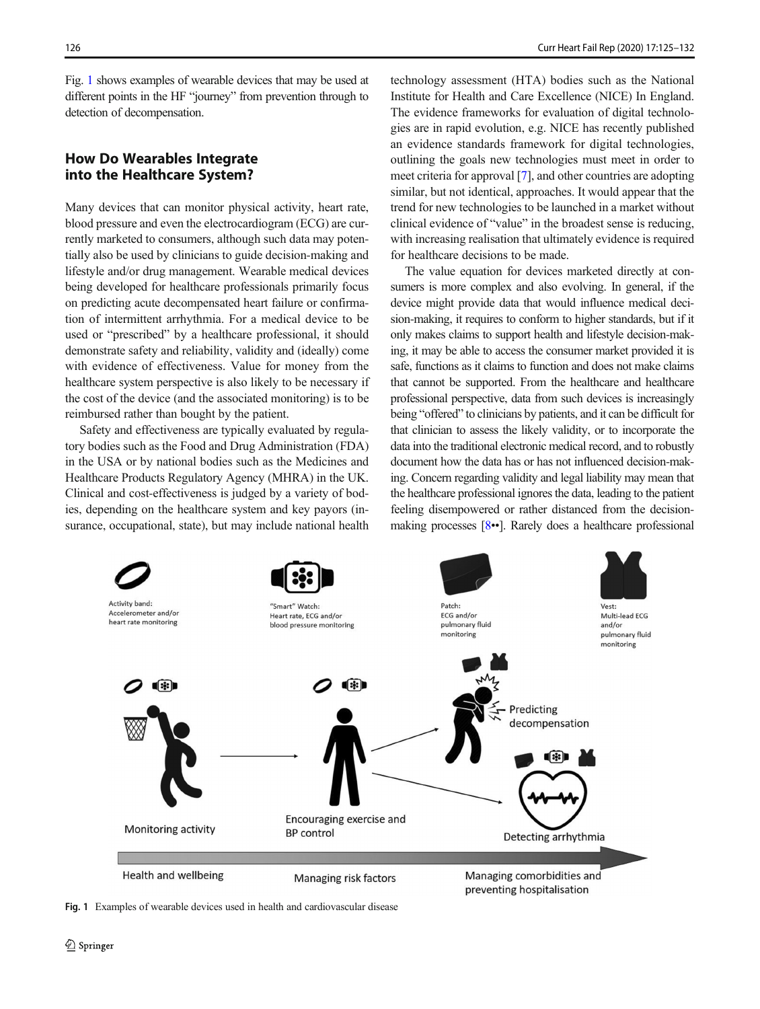Fig. 1 shows examples of wearable devices that may be used at different points in the HF "journey" from prevention through to detection of decompensation.

# How Do Wearables Integrate into the Healthcare System?

Many devices that can monitor physical activity, heart rate, blood pressure and even the electrocardiogram (ECG) are currently marketed to consumers, although such data may potentially also be used by clinicians to guide decision-making and lifestyle and/or drug management. Wearable medical devices being developed for healthcare professionals primarily focus on predicting acute decompensated heart failure or confirmation of intermittent arrhythmia. For a medical device to be used or "prescribed" by a healthcare professional, it should demonstrate safety and reliability, validity and (ideally) come with evidence of effectiveness. Value for money from the healthcare system perspective is also likely to be necessary if the cost of the device (and the associated monitoring) is to be reimbursed rather than bought by the patient.

Safety and effectiveness are typically evaluated by regulatory bodies such as the Food and Drug Administration (FDA) in the USA or by national bodies such as the Medicines and Healthcare Products Regulatory Agency (MHRA) in the UK. Clinical and cost-effectiveness is judged by a variety of bodies, depending on the healthcare system and key payors (insurance, occupational, state), but may include national health

technology assessment (HTA) bodies such as the National Institute for Health and Care Excellence (NICE) In England. The evidence frameworks for evaluation of digital technologies are in rapid evolution, e.g. NICE has recently published an evidence standards framework for digital technologies, outlining the goals new technologies must meet in order to meet criteria for approval [\[7](#page-6-0)], and other countries are adopting similar, but not identical, approaches. It would appear that the trend for new technologies to be launched in a market without clinical evidence of "value" in the broadest sense is reducing, with increasing realisation that ultimately evidence is required for healthcare decisions to be made.

The value equation for devices marketed directly at consumers is more complex and also evolving. In general, if the device might provide data that would influence medical decision-making, it requires to conform to higher standards, but if it only makes claims to support health and lifestyle decision-making, it may be able to access the consumer market provided it is safe, functions as it claims to function and does not make claims that cannot be supported. From the healthcare and healthcare professional perspective, data from such devices is increasingly being "offered" to clinicians by patients, and it can be difficult for that clinician to assess the likely validity, or to incorporate the data into the traditional electronic medical record, and to robustly document how the data has or has not influenced decision-making. Concern regarding validity and legal liability may mean that the healthcare professional ignores the data, leading to the patient feeling disempowered or rather distanced from the decisionmaking processes [\[8](#page-6-0)••]. Rarely does a healthcare professional



Fig. 1 Examples of wearable devices used in health and cardiovascular disease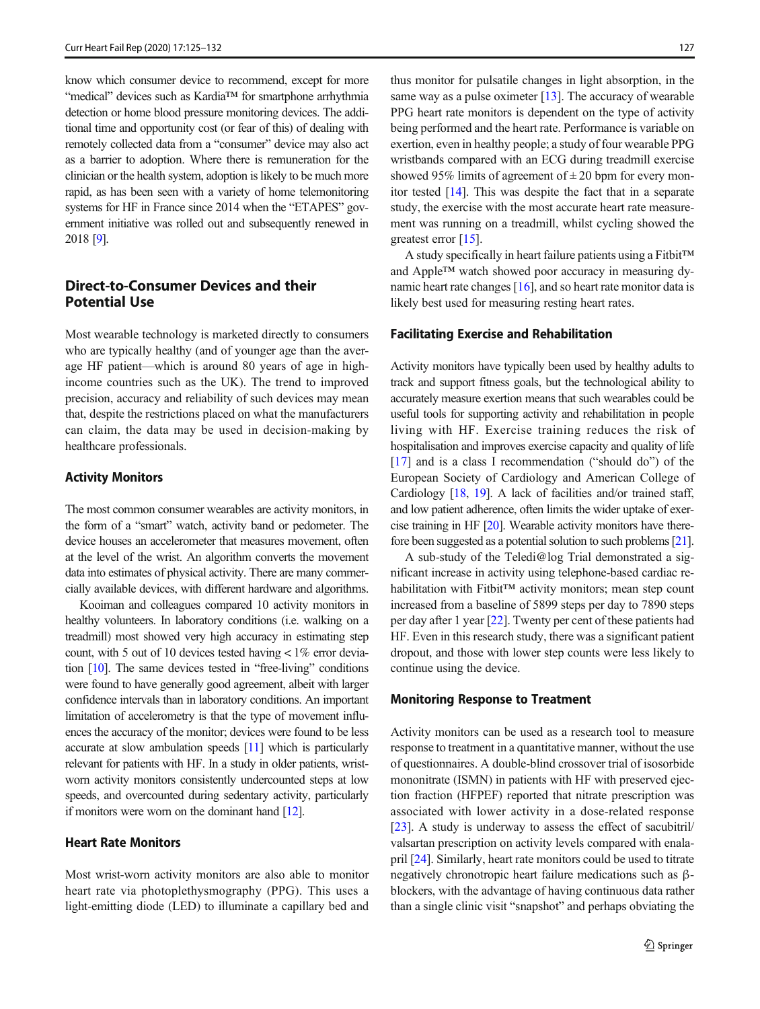know which consumer device to recommend, except for more "medical" devices such as Kardia™ for smartphone arrhythmia detection or home blood pressure monitoring devices. The additional time and opportunity cost (or fear of this) of dealing with remotely collected data from a "consumer" device may also act as a barrier to adoption. Where there is remuneration for the clinician or the health system, adoption is likely to be much more rapid, as has been seen with a variety of home telemonitoring systems for HF in France since 2014 when the "ETAPES" government initiative was rolled out and subsequently renewed in 2018 [\[9](#page-6-0)].

# Direct-to-Consumer Devices and their Potential Use

Most wearable technology is marketed directly to consumers who are typically healthy (and of younger age than the average HF patient—which is around 80 years of age in highincome countries such as the UK). The trend to improved precision, accuracy and reliability of such devices may mean that, despite the restrictions placed on what the manufacturers can claim, the data may be used in decision-making by healthcare professionals.

#### Activity Monitors

The most common consumer wearables are activity monitors, in the form of a "smart" watch, activity band or pedometer. The device houses an accelerometer that measures movement, often at the level of the wrist. An algorithm converts the movement data into estimates of physical activity. There are many commercially available devices, with different hardware and algorithms.

Kooiman and colleagues compared 10 activity monitors in healthy volunteers. In laboratory conditions (i.e. walking on a treadmill) most showed very high accuracy in estimating step count, with 5 out of 10 devices tested having  $< 1\%$  error deviation [\[10\]](#page-6-0). The same devices tested in "free-living" conditions were found to have generally good agreement, albeit with larger confidence intervals than in laboratory conditions. An important limitation of accelerometry is that the type of movement influences the accuracy of the monitor; devices were found to be less accurate at slow ambulation speeds [\[11\]](#page-6-0) which is particularly relevant for patients with HF. In a study in older patients, wristworn activity monitors consistently undercounted steps at low speeds, and overcounted during sedentary activity, particularly if monitors were worn on the dominant hand [\[12\]](#page-6-0).

### Heart Rate Monitors

Most wrist-worn activity monitors are also able to monitor heart rate via photoplethysmography (PPG). This uses a light-emitting diode (LED) to illuminate a capillary bed and

thus monitor for pulsatile changes in light absorption, in the same way as a pulse oximeter [\[13\]](#page-6-0). The accuracy of wearable PPG heart rate monitors is dependent on the type of activity being performed and the heart rate. Performance is variable on exertion, even in healthy people; a study of four wearable PPG wristbands compared with an ECG during treadmill exercise showed 95% limits of agreement of  $\pm 20$  bpm for every monitor tested [\[14](#page-6-0)]. This was despite the fact that in a separate study, the exercise with the most accurate heart rate measurement was running on a treadmill, whilst cycling showed the greatest error [\[15\]](#page-6-0).

A study specifically in heart failure patients using a Fitbit™ and Apple™ watch showed poor accuracy in measuring dynamic heart rate changes [[16](#page-6-0)], and so heart rate monitor data is likely best used for measuring resting heart rates.

#### Facilitating Exercise and Rehabilitation

Activity monitors have typically been used by healthy adults to track and support fitness goals, but the technological ability to accurately measure exertion means that such wearables could be useful tools for supporting activity and rehabilitation in people living with HF. Exercise training reduces the risk of hospitalisation and improves exercise capacity and quality of life [\[17](#page-6-0)] and is a class I recommendation ("should do") of the European Society of Cardiology and American College of Cardiology [[18](#page-6-0), [19\]](#page-6-0). A lack of facilities and/or trained staff, and low patient adherence, often limits the wider uptake of exercise training in HF [\[20](#page-6-0)]. Wearable activity monitors have therefore been suggested as a potential solution to such problems [\[21\]](#page-6-0).

A sub-study of the Teledi@log Trial demonstrated a significant increase in activity using telephone-based cardiac rehabilitation with Fitbit™ activity monitors; mean step count increased from a baseline of 5899 steps per day to 7890 steps per day after 1 year [[22\]](#page-6-0). Twenty per cent of these patients had HF. Even in this research study, there was a significant patient dropout, and those with lower step counts were less likely to continue using the device.

#### Monitoring Response to Treatment

Activity monitors can be used as a research tool to measure response to treatment in a quantitative manner, without the use of questionnaires. A double-blind crossover trial of isosorbide mononitrate (ISMN) in patients with HF with preserved ejection fraction (HFPEF) reported that nitrate prescription was associated with lower activity in a dose-related response [\[23](#page-6-0)]. A study is underway to assess the effect of sacubitril/ valsartan prescription on activity levels compared with enalapril [[24](#page-6-0)]. Similarly, heart rate monitors could be used to titrate negatively chronotropic heart failure medications such as βblockers, with the advantage of having continuous data rather than a single clinic visit "snapshot" and perhaps obviating the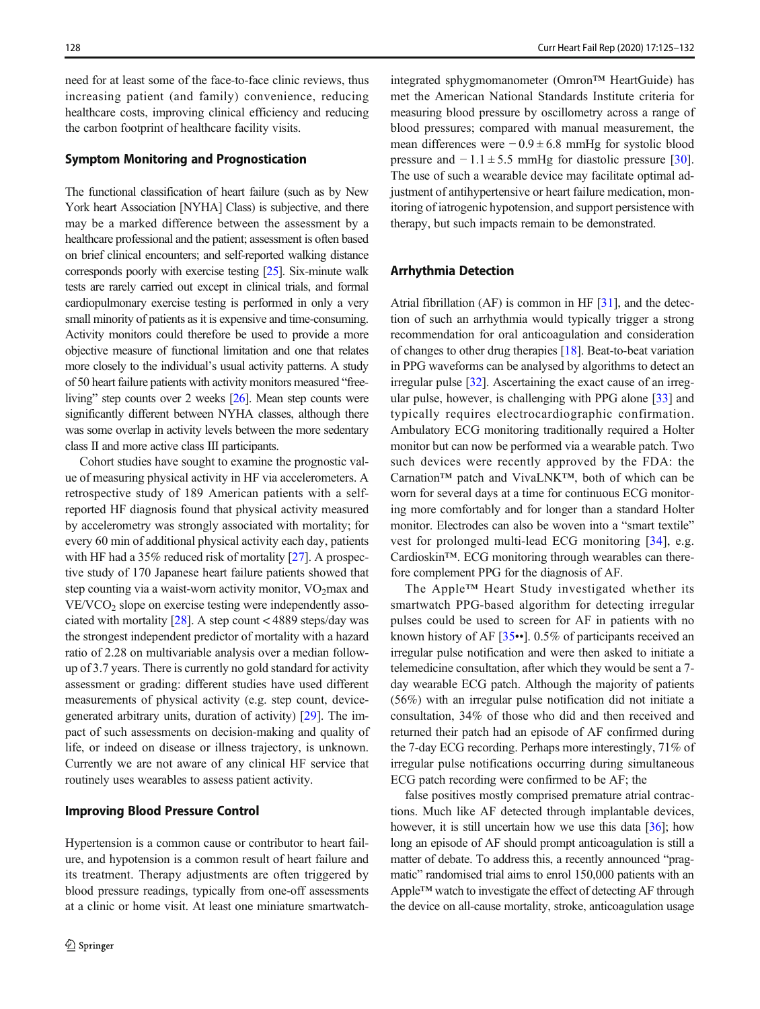need for at least some of the face-to-face clinic reviews, thus increasing patient (and family) convenience, reducing healthcare costs, improving clinical efficiency and reducing the carbon footprint of healthcare facility visits.

#### Symptom Monitoring and Prognostication

The functional classification of heart failure (such as by New York heart Association [NYHA] Class) is subjective, and there may be a marked difference between the assessment by a healthcare professional and the patient; assessment is often based on brief clinical encounters; and self-reported walking distance corresponds poorly with exercise testing [\[25](#page-6-0)]. Six-minute walk tests are rarely carried out except in clinical trials, and formal cardiopulmonary exercise testing is performed in only a very small minority of patients as it is expensive and time-consuming. Activity monitors could therefore be used to provide a more objective measure of functional limitation and one that relates more closely to the individual's usual activity patterns. A study of 50 heart failure patients with activity monitors measured "freeliving" step counts over 2 weeks [\[26](#page-6-0)]. Mean step counts were significantly different between NYHA classes, although there was some overlap in activity levels between the more sedentary class II and more active class III participants.

Cohort studies have sought to examine the prognostic value of measuring physical activity in HF via accelerometers. A retrospective study of 189 American patients with a selfreported HF diagnosis found that physical activity measured by accelerometry was strongly associated with mortality; for every 60 min of additional physical activity each day, patients with HF had a 35% reduced risk of mortality [[27\]](#page-6-0). A prospective study of 170 Japanese heart failure patients showed that step counting via a waist-worn activity monitor,  $VO<sub>2</sub>max$  and  $VE/VCO<sub>2</sub>$  slope on exercise testing were independently associated with mortality  $[28]$  $[28]$ . A step count < 4889 steps/day was the strongest independent predictor of mortality with a hazard ratio of 2.28 on multivariable analysis over a median followup of 3.7 years. There is currently no gold standard for activity assessment or grading: different studies have used different measurements of physical activity (e.g. step count, devicegenerated arbitrary units, duration of activity) [\[29](#page-7-0)]. The impact of such assessments on decision-making and quality of life, or indeed on disease or illness trajectory, is unknown. Currently we are not aware of any clinical HF service that routinely uses wearables to assess patient activity.

#### Improving Blood Pressure Control

Hypertension is a common cause or contributor to heart failure, and hypotension is a common result of heart failure and its treatment. Therapy adjustments are often triggered by blood pressure readings, typically from one-off assessments at a clinic or home visit. At least one miniature smartwatch-

integrated sphygmomanometer (Omron™ HeartGuide) has met the American National Standards Institute criteria for measuring blood pressure by oscillometry across a range of blood pressures; compared with manual measurement, the mean differences were − 0.9 ± 6.8 mmHg for systolic blood pressure and  $-1.1 \pm 5.5$  mmHg for diastolic pressure [[30\]](#page-7-0). The use of such a wearable device may facilitate optimal adjustment of antihypertensive or heart failure medication, monitoring of iatrogenic hypotension, and support persistence with therapy, but such impacts remain to be demonstrated.

### Arrhythmia Detection

Atrial fibrillation (AF) is common in HF [\[31\]](#page-7-0), and the detection of such an arrhythmia would typically trigger a strong recommendation for oral anticoagulation and consideration of changes to other drug therapies [\[18](#page-6-0)]. Beat-to-beat variation in PPG waveforms can be analysed by algorithms to detect an irregular pulse [\[32\]](#page-7-0). Ascertaining the exact cause of an irregular pulse, however, is challenging with PPG alone [\[33\]](#page-7-0) and typically requires electrocardiographic confirmation. Ambulatory ECG monitoring traditionally required a Holter monitor but can now be performed via a wearable patch. Two such devices were recently approved by the FDA: the Carnation™ patch and VivaLNK™, both of which can be worn for several days at a time for continuous ECG monitoring more comfortably and for longer than a standard Holter monitor. Electrodes can also be woven into a "smart textile" vest for prolonged multi-lead ECG monitoring [\[34\]](#page-7-0), e.g. Cardioskin™. ECG monitoring through wearables can therefore complement PPG for the diagnosis of AF.

The Apple™ Heart Study investigated whether its smartwatch PPG-based algorithm for detecting irregular pulses could be used to screen for AF in patients with no known history of AF [[35](#page-7-0)••]. 0.5% of participants received an irregular pulse notification and were then asked to initiate a telemedicine consultation, after which they would be sent a 7 day wearable ECG patch. Although the majority of patients (56%) with an irregular pulse notification did not initiate a consultation, 34% of those who did and then received and returned their patch had an episode of AF confirmed during the 7-day ECG recording. Perhaps more interestingly, 71% of irregular pulse notifications occurring during simultaneous ECG patch recording were confirmed to be AF; the

false positives mostly comprised premature atrial contractions. Much like AF detected through implantable devices, however, it is still uncertain how we use this data [\[36](#page-7-0)]; how long an episode of AF should prompt anticoagulation is still a matter of debate. To address this, a recently announced "pragmatic" randomised trial aims to enrol 150,000 patients with an Apple™ watch to investigate the effect of detecting AF through the device on all-cause mortality, stroke, anticoagulation usage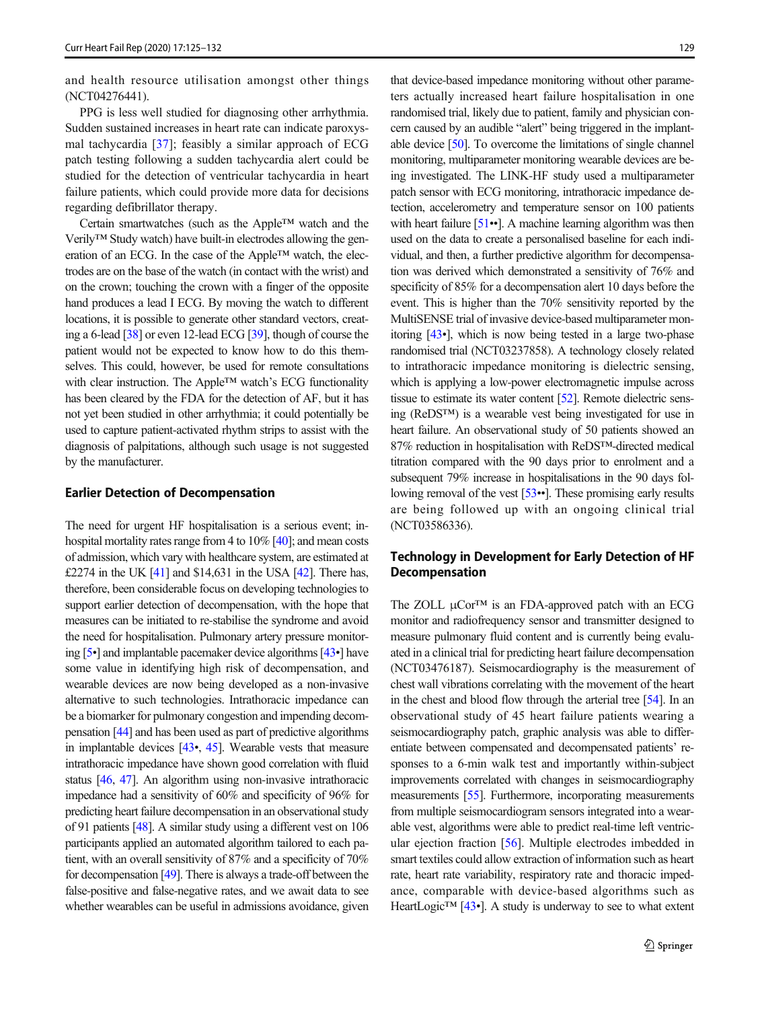and health resource utilisation amongst other things (NCT04276441).

PPG is less well studied for diagnosing other arrhythmia. Sudden sustained increases in heart rate can indicate paroxysmal tachycardia [\[37](#page-7-0)]; feasibly a similar approach of ECG patch testing following a sudden tachycardia alert could be studied for the detection of ventricular tachycardia in heart failure patients, which could provide more data for decisions regarding defibrillator therapy.

Certain smartwatches (such as the Apple™ watch and the Verily™ Study watch) have built-in electrodes allowing the generation of an ECG. In the case of the Apple™ watch, the electrodes are on the base of the watch (in contact with the wrist) and on the crown; touching the crown with a finger of the opposite hand produces a lead I ECG. By moving the watch to different locations, it is possible to generate other standard vectors, creating a 6-lead [\[38\]](#page-7-0) or even 12-lead ECG [\[39](#page-7-0)], though of course the patient would not be expected to know how to do this themselves. This could, however, be used for remote consultations with clear instruction. The Apple™ watch's ECG functionality has been cleared by the FDA for the detection of AF, but it has not yet been studied in other arrhythmia; it could potentially be used to capture patient-activated rhythm strips to assist with the diagnosis of palpitations, although such usage is not suggested by the manufacturer.

### Earlier Detection of Decompensation

The need for urgent HF hospitalisation is a serious event; inhospital mortality rates range from 4 to 10% [\[40\]](#page-7-0); and mean costs of admission, which vary with healthcare system, are estimated at £2274 in the UK  $[41]$  and \$14,631 in the USA  $[42]$  $[42]$ . There has, therefore, been considerable focus on developing technologies to support earlier detection of decompensation, with the hope that measures can be initiated to re-stabilise the syndrome and avoid the need for hospitalisation. Pulmonary artery pressure monitoring [\[5](#page-6-0)•] and implantable pacemaker device algorithms [\[43](#page-7-0)•] have some value in identifying high risk of decompensation, and wearable devices are now being developed as a non-invasive alternative to such technologies. Intrathoracic impedance can be a biomarker for pulmonary congestion and impending decompensation [\[44\]](#page-7-0) and has been used as part of predictive algorithms in implantable devices [\[43](#page-7-0)•, [45\]](#page-7-0). Wearable vests that measure intrathoracic impedance have shown good correlation with fluid status [[46,](#page-7-0) [47](#page-7-0)]. An algorithm using non-invasive intrathoracic impedance had a sensitivity of 60% and specificity of 96% for predicting heart failure decompensation in an observational study of 91 patients [[48](#page-7-0)]. A similar study using a different vest on 106 participants applied an automated algorithm tailored to each patient, with an overall sensitivity of 87% and a specificity of 70% for decompensation [\[49](#page-7-0)]. There is always a trade-off between the false-positive and false-negative rates, and we await data to see whether wearables can be useful in admissions avoidance, given

that device-based impedance monitoring without other parameters actually increased heart failure hospitalisation in one randomised trial, likely due to patient, family and physician concern caused by an audible "alert" being triggered in the implantable device [\[50](#page-7-0)]. To overcome the limitations of single channel monitoring, multiparameter monitoring wearable devices are being investigated. The LINK-HF study used a multiparameter patch sensor with ECG monitoring, intrathoracic impedance detection, accelerometry and temperature sensor on 100 patients with heart failure [\[51](#page-7-0)••]. A machine learning algorithm was then used on the data to create a personalised baseline for each individual, and then, a further predictive algorithm for decompensation was derived which demonstrated a sensitivity of 76% and specificity of 85% for a decompensation alert 10 days before the event. This is higher than the 70% sensitivity reported by the MultiSENSE trial of invasive device-based multiparameter monitoring [\[43](#page-7-0)•], which is now being tested in a large two-phase randomised trial (NCT03237858). A technology closely related to intrathoracic impedance monitoring is dielectric sensing, which is applying a low-power electromagnetic impulse across tissue to estimate its water content [[52](#page-7-0)]. Remote dielectric sensing (ReDS™) is a wearable vest being investigated for use in heart failure. An observational study of 50 patients showed an 87% reduction in hospitalisation with ReDS™-directed medical titration compared with the 90 days prior to enrolment and a subsequent 79% increase in hospitalisations in the 90 days following removal of the vest [[53](#page-7-0)••]. These promising early results are being followed up with an ongoing clinical trial (NCT03586336).

# Technology in Development for Early Detection of HF Decompensation

The ZOLL  $\mu$ Cor<sup>TM</sup> is an FDA-approved patch with an ECG monitor and radiofrequency sensor and transmitter designed to measure pulmonary fluid content and is currently being evaluated in a clinical trial for predicting heart failure decompensation (NCT03476187). Seismocardiography is the measurement of chest wall vibrations correlating with the movement of the heart in the chest and blood flow through the arterial tree [\[54\]](#page-7-0). In an observational study of 45 heart failure patients wearing a seismocardiography patch, graphic analysis was able to differentiate between compensated and decompensated patients' responses to a 6-min walk test and importantly within-subject improvements correlated with changes in seismocardiography measurements [\[55\]](#page-7-0). Furthermore, incorporating measurements from multiple seismocardiogram sensors integrated into a wearable vest, algorithms were able to predict real-time left ventricular ejection fraction [[56](#page-7-0)]. Multiple electrodes imbedded in smart textiles could allow extraction of information such as heart rate, heart rate variability, respiratory rate and thoracic impedance, comparable with device-based algorithms such as HeartLogic<sup>™</sup> [\[43](#page-7-0)•]. A study is underway to see to what extent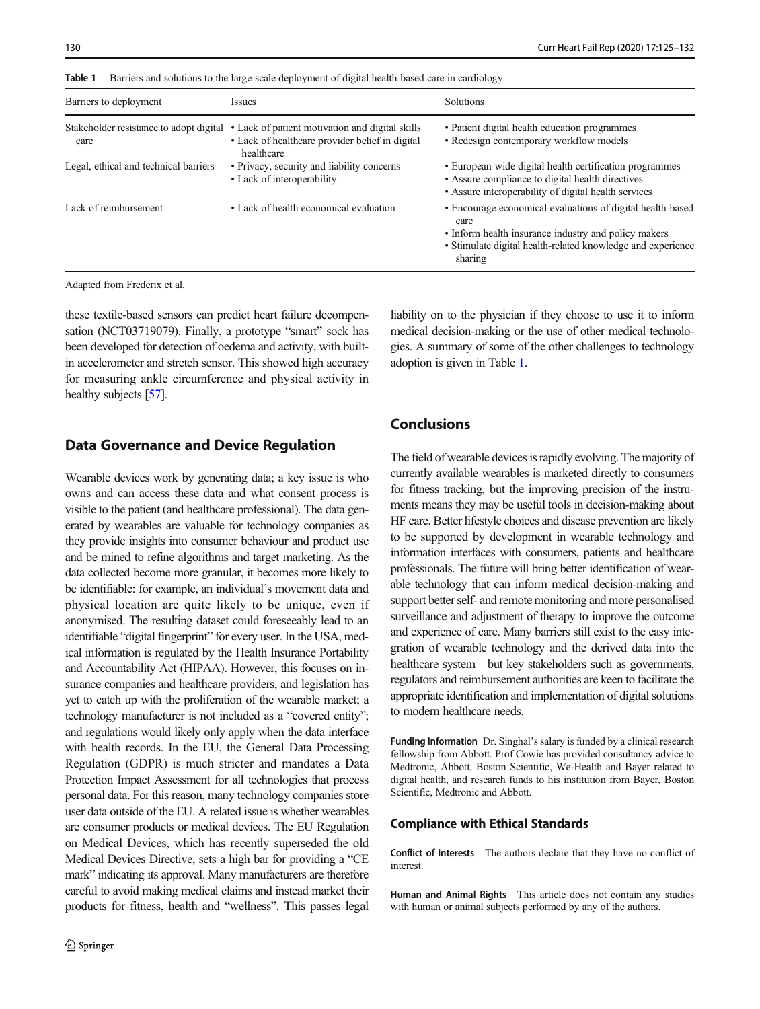| Barriers to deployment                          | <b>Issues</b>                                                                                                    | <b>Solutions</b>                                                                                                                                                                                     |
|-------------------------------------------------|------------------------------------------------------------------------------------------------------------------|------------------------------------------------------------------------------------------------------------------------------------------------------------------------------------------------------|
| Stakeholder resistance to adopt digital<br>care | • Lack of patient motivation and digital skills<br>• Lack of healthcare provider belief in digital<br>healthcare | • Patient digital health education programmes<br>• Redesign contemporary workflow models                                                                                                             |
| Legal, ethical and technical barriers           | • Privacy, security and liability concerns<br>• Lack of interoperability                                         | • European-wide digital health certification programmes<br>• Assure compliance to digital health directives<br>• Assure interoperability of digital health services                                  |
| Lack of reimbursement                           | • Lack of health economical evaluation                                                                           | • Encourage economical evaluations of digital health-based<br>care<br>• Inform health insurance industry and policy makers<br>• Stimulate digital health-related knowledge and experience<br>sharing |

Table 1 Barriers and solutions to the large-scale deployment of digital health-based care in cardiology

Adapted from Frederix et al.

these textile-based sensors can predict heart failure decompensation (NCT03719079). Finally, a prototype "smart" sock has been developed for detection of oedema and activity, with builtin accelerometer and stretch sensor. This showed high accuracy for measuring ankle circumference and physical activity in healthy subjects [[57](#page-7-0)].

# liability on to the physician if they choose to use it to inform medical decision-making or the use of other medical technologies. A summary of some of the other challenges to technology adoption is given in Table 1.

# Data Governance and Device Regulation

Wearable devices work by generating data; a key issue is who owns and can access these data and what consent process is visible to the patient (and healthcare professional). The data generated by wearables are valuable for technology companies as they provide insights into consumer behaviour and product use and be mined to refine algorithms and target marketing. As the data collected become more granular, it becomes more likely to be identifiable: for example, an individual's movement data and physical location are quite likely to be unique, even if anonymised. The resulting dataset could foreseeably lead to an identifiable "digital fingerprint" for every user. In the USA, medical information is regulated by the Health Insurance Portability and Accountability Act (HIPAA). However, this focuses on insurance companies and healthcare providers, and legislation has yet to catch up with the proliferation of the wearable market; a technology manufacturer is not included as a "covered entity"; and regulations would likely only apply when the data interface with health records. In the EU, the General Data Processing Regulation (GDPR) is much stricter and mandates a Data Protection Impact Assessment for all technologies that process personal data. For this reason, many technology companies store user data outside of the EU. A related issue is whether wearables are consumer products or medical devices. The EU Regulation on Medical Devices, which has recently superseded the old Medical Devices Directive, sets a high bar for providing a "CE mark" indicating its approval. Many manufacturers are therefore careful to avoid making medical claims and instead market their products for fitness, health and "wellness". This passes legal

# Conclusions

The field of wearable devices is rapidly evolving. The majority of currently available wearables is marketed directly to consumers for fitness tracking, but the improving precision of the instruments means they may be useful tools in decision-making about HF care. Better lifestyle choices and disease prevention are likely to be supported by development in wearable technology and information interfaces with consumers, patients and healthcare professionals. The future will bring better identification of wearable technology that can inform medical decision-making and support better self- and remote monitoring and more personalised surveillance and adjustment of therapy to improve the outcome and experience of care. Many barriers still exist to the easy integration of wearable technology and the derived data into the healthcare system—but key stakeholders such as governments, regulators and reimbursement authorities are keen to facilitate the appropriate identification and implementation of digital solutions to modern healthcare needs.

Funding Information Dr. Singhal's salary is funded by a clinical research fellowship from Abbott. Prof Cowie has provided consultancy advice to Medtronic, Abbott, Boston Scientific, We-Health and Bayer related to digital health, and research funds to his institution from Bayer, Boston Scientific, Medtronic and Abbott.

### Compliance with Ethical Standards

Conflict of Interests The authors declare that they have no conflict of interest.

Human and Animal Rights This article does not contain any studies with human or animal subjects performed by any of the authors.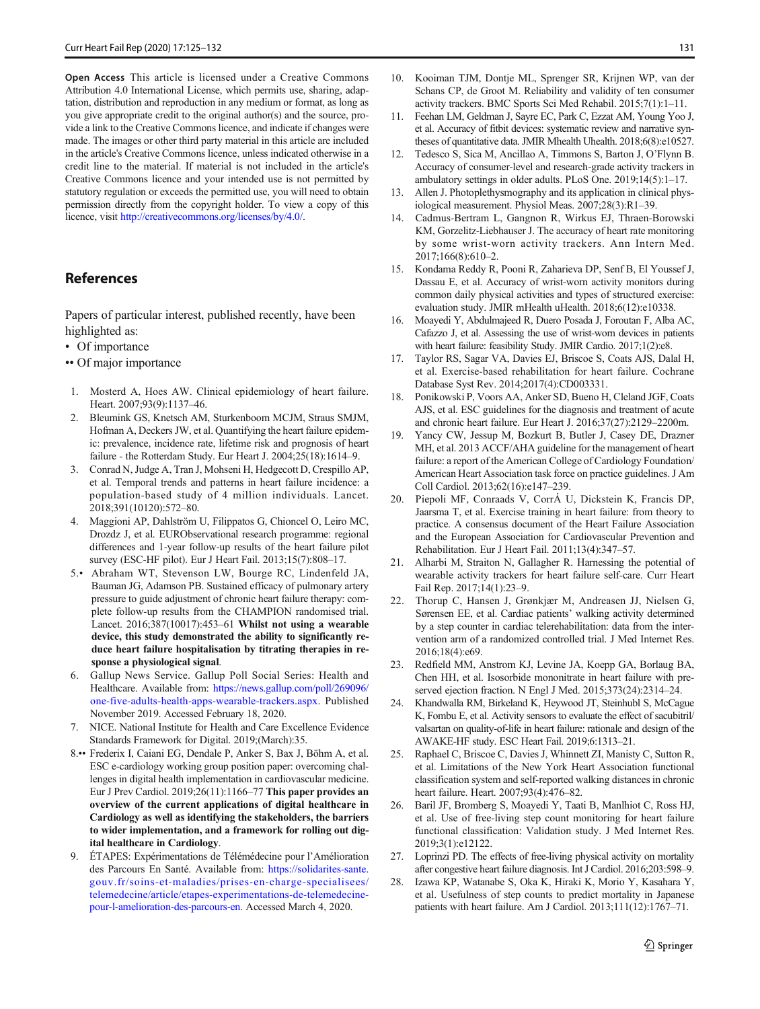<span id="page-6-0"></span>Open Access This article is licensed under a Creative Commons Attribution 4.0 International License, which permits use, sharing, adaptation, distribution and reproduction in any medium or format, as long as you give appropriate credit to the original author(s) and the source, provide a link to the Creative Commons licence, and indicate if changes were made. The images or other third party material in this article are included in the article's Creative Commons licence, unless indicated otherwise in a credit line to the material. If material is not included in the article's Creative Commons licence and your intended use is not permitted by statutory regulation or exceeds the permitted use, you will need to obtain permission directly from the copyright holder. To view a copy of this licence, visit <http://creativecommons.org/licenses/by/4.0/>.

# References

Papers of particular interest, published recently, have been highlighted as:

- Of importance
- •• Of major importance
- 1. Mosterd A, Hoes AW. Clinical epidemiology of heart failure. Heart. 2007;93(9):1137–46.
- 2. Bleumink GS, Knetsch AM, Sturkenboom MCJM, Straus SMJM, Hofman A, Deckers JW, et al. Quantifying the heart failure epidemic: prevalence, incidence rate, lifetime risk and prognosis of heart failure - the Rotterdam Study. Eur Heart J. 2004;25(18):1614–9.
- 3. Conrad N, Judge A, Tran J, Mohseni H, Hedgecott D, Crespillo AP, et al. Temporal trends and patterns in heart failure incidence: a population-based study of 4 million individuals. Lancet. 2018;391(10120):572–80.
- 4. Maggioni AP, Dahlström U, Filippatos G, Chioncel O, Leiro MC, Drozdz J, et al. EURObservational research programme: regional differences and 1-year follow-up results of the heart failure pilot survey (ESC-HF pilot). Eur J Heart Fail. 2013;15(7):808–17.
- 5.• Abraham WT, Stevenson LW, Bourge RC, Lindenfeld JA, Bauman JG, Adamson PB. Sustained efficacy of pulmonary artery pressure to guide adjustment of chronic heart failure therapy: complete follow-up results from the CHAMPION randomised trial. Lancet. 2016;387(10017):453–61 Whilst not using a wearable device, this study demonstrated the ability to significantly reduce heart failure hospitalisation by titrating therapies in response a physiological signal.
- 6. Gallup News Service. Gallup Poll Social Series: Health and Healthcare. Available from: [https://news.gallup.com/poll/269096/](http://creativecommons.org/licenses/by/4.0/) [one-five-adults-health-apps-wearable-trackers.aspx](http://creativecommons.org/licenses/by/4.0/). Published November 2019. Accessed February 18, 2020.
- 7. NICE. National Institute for Health and Care Excellence Evidence Standards Framework for Digital. 2019;(March):35.
- 8.•• Frederix I, Caiani EG, Dendale P, Anker S, Bax J, Böhm A, et al. ESC e-cardiology working group position paper: overcoming challenges in digital health implementation in cardiovascular medicine. Eur J Prev Cardiol. 2019;26(11):1166–77 This paper provides an overview of the current applications of digital healthcare in Cardiology as well as identifying the stakeholders, the barriers to wider implementation, and a framework for rolling out digital healthcare in Cardiology.
- 9. ÉTAPES: Expérimentations de Télémédecine pour l'Amélioration des Parcours En Santé. Available from: [https://solidarites-sante.](http://creativecommons.org/licenses/by/4.0/) [gouv.fr/soins-et-maladies/prises-en-charge-specialisees/](http://creativecommons.org/licenses/by/4.0/) [telemedecine/article/etapes-experimentations-de-telemedecine](http://creativecommons.org/licenses/by/4.0/)[pour-l-amelioration-des-parcours-en](http://creativecommons.org/licenses/by/4.0/). Accessed March 4, 2020.
- 10. Kooiman TJM, Dontje ML, Sprenger SR, Krijnen WP, van der Schans CP, de Groot M. Reliability and validity of ten consumer activity trackers. BMC Sports Sci Med Rehabil. 2015;7(1):1–11.
- 11. Feehan LM, Geldman J, Sayre EC, Park C, Ezzat AM, Young Yoo J, et al. Accuracy of fitbit devices: systematic review and narrative syntheses of quantitative data. JMIR Mhealth Uhealth. 2018;6(8):e10527.
- 12. Tedesco S, Sica M, Ancillao A, Timmons S, Barton J, O'Flynn B. Accuracy of consumer-level and research-grade activity trackers in ambulatory settings in older adults. PLoS One. 2019;14(5):1–17.
- 13. Allen J. Photoplethysmography and its application in clinical physiological measurement. Physiol Meas. 2007;28(3):R1–39.
- 14. Cadmus-Bertram L, Gangnon R, Wirkus EJ, Thraen-Borowski KM, Gorzelitz-Liebhauser J. The accuracy of heart rate monitoring by some wrist-worn activity trackers. Ann Intern Med. 2017;166(8):610–2.
- 15. Kondama Reddy R, Pooni R, Zaharieva DP, Senf B, El Youssef J, Dassau E, et al. Accuracy of wrist-worn activity monitors during common daily physical activities and types of structured exercise: evaluation study. JMIR mHealth uHealth. 2018;6(12):e10338.
- 16. Moayedi Y, Abdulmajeed R, Duero Posada J, Foroutan F, Alba AC, Cafazzo J, et al. Assessing the use of wrist-worn devices in patients with heart failure: feasibility Study. JMIR Cardio. 2017;1(2):e8.
- 17. Taylor RS, Sagar VA, Davies EJ, Briscoe S, Coats AJS, Dalal H, et al. Exercise-based rehabilitation for heart failure. Cochrane Database Syst Rev. 2014;2017(4):CD003331.
- 18. Ponikowski P, Voors AA, Anker SD, Bueno H, Cleland JGF, Coats AJS, et al. ESC guidelines for the diagnosis and treatment of acute and chronic heart failure. Eur Heart J. 2016;37(27):2129–2200m.
- 19. Yancy CW, Jessup M, Bozkurt B, Butler J, Casey DE, Drazner MH, et al. 2013 ACCF/AHA guideline for the management of heart failure: a report of the American College of Cardiology Foundation/ American Heart Association task force on practice guidelines. J Am Coll Cardiol. 2013;62(16):e147–239.
- 20. Piepoli MF, Conraads V, CorrÁ U, Dickstein K, Francis DP, Jaarsma T, et al. Exercise training in heart failure: from theory to practice. A consensus document of the Heart Failure Association and the European Association for Cardiovascular Prevention and Rehabilitation. Eur J Heart Fail. 2011;13(4):347–57.
- 21. Alharbi M, Straiton N, Gallagher R. Harnessing the potential of wearable activity trackers for heart failure self-care. Curr Heart Fail Rep. 2017;14(1):23–9.
- 22. Thorup C, Hansen J, Grønkjær M, Andreasen JJ, Nielsen G, Sørensen EE, et al. Cardiac patients' walking activity determined by a step counter in cardiac telerehabilitation: data from the intervention arm of a randomized controlled trial. J Med Internet Res. 2016;18(4):e69.
- 23. Redfield MM, Anstrom KJ, Levine JA, Koepp GA, Borlaug BA, Chen HH, et al. Isosorbide mononitrate in heart failure with preserved ejection fraction. N Engl J Med. 2015;373(24):2314–24.
- 24. Khandwalla RM, Birkeland K, Heywood JT, Steinhubl S, McCague K, Fombu E, et al. Activity sensors to evaluate the effect of sacubitril/ valsartan on quality-of-life in heart failure: rationale and design of the AWAKE-HF study. ESC Heart Fail. 2019;6:1313–21.
- 25. Raphael C, Briscoe C, Davies J, Whinnett ZI, Manisty C, Sutton R, et al. Limitations of the New York Heart Association functional classification system and self-reported walking distances in chronic heart failure. Heart. 2007;93(4):476–82.
- 26. Baril JF, Bromberg S, Moayedi Y, Taati B, Manlhiot C, Ross HJ, et al. Use of free-living step count monitoring for heart failure functional classification: Validation study. J Med Internet Res. 2019;3(1):e12122.
- 27. Loprinzi PD. The effects of free-living physical activity on mortality after congestive heart failure diagnosis. Int J Cardiol. 2016;203:598–9.
- 28. Izawa KP, Watanabe S, Oka K, Hiraki K, Morio Y, Kasahara Y, et al. Usefulness of step counts to predict mortality in Japanese patients with heart failure. Am J Cardiol. 2013;111(12):1767–71.